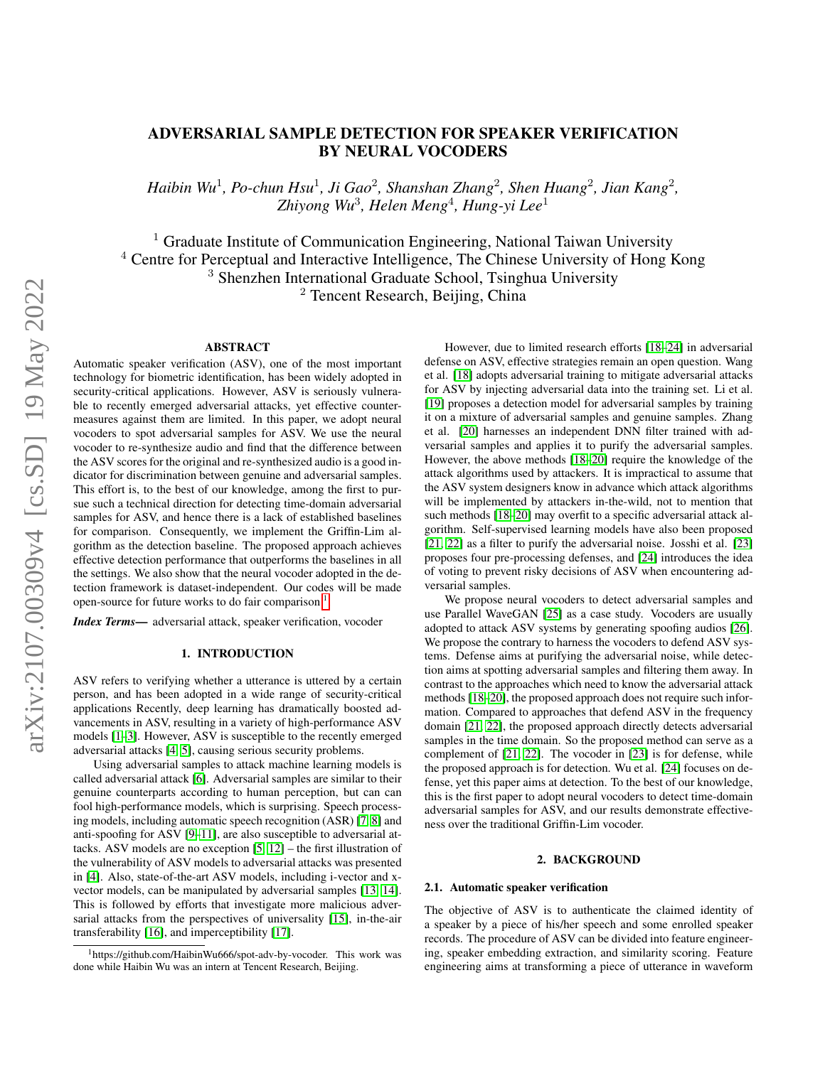## ADVERSARIAL SAMPLE DETECTION FOR SPEAKER VERIFICATION BY NEURAL VOCODERS

*Haibin Wu<sup>1</sup>, Po-chun Hsu<sup>1</sup>, Ji Gao<sup>2</sup>, Shanshan Zhang<sup>2</sup>, Shen Huang<sup>2</sup>, Jian Kang<sup>2</sup>, Zhiyong Wu*<sup>3</sup> *, Helen Meng*<sup>4</sup> *, Hung-yi Lee*<sup>1</sup>

<sup>1</sup> Graduate Institute of Communication Engineering, National Taiwan University  $4$  Centre for Perceptual and Interactive Intelligence, The Chinese University of Hong Kong <sup>3</sup> Shenzhen International Graduate School, Tsinghua University <sup>2</sup> Tencent Research, Beijing, China

## ABSTRACT

Automatic speaker verification (ASV), one of the most important technology for biometric identification, has been widely adopted in security-critical applications. However, ASV is seriously vulnerable to recently emerged adversarial attacks, yet effective countermeasures against them are limited. In this paper, we adopt neural vocoders to spot adversarial samples for ASV. We use the neural vocoder to re-synthesize audio and find that the difference between the ASV scores for the original and re-synthesized audio is a good indicator for discrimination between genuine and adversarial samples. This effort is, to the best of our knowledge, among the first to pursue such a technical direction for detecting time-domain adversarial samples for ASV, and hence there is a lack of established baselines for comparison. Consequently, we implement the Griffin-Lim algorithm as the detection baseline. The proposed approach achieves effective detection performance that outperforms the baselines in all the settings. We also show that the neural vocoder adopted in the detection framework is dataset-independent. Our codes will be made open-source for future works to do fair comparison  $<sup>1</sup>$  $<sup>1</sup>$  $<sup>1</sup>$ .</sup>

*Index Terms*— adversarial attack, speaker verification, vocoder

## 1. INTRODUCTION

ASV refers to verifying whether a utterance is uttered by a certain person, and has been adopted in a wide range of security-critical applications Recently, deep learning has dramatically boosted advancements in ASV, resulting in a variety of high-performance ASV models [\[1–](#page-4-0)[3\]](#page-4-1). However, ASV is susceptible to the recently emerged adversarial attacks [\[4,](#page-4-2) [5\]](#page-4-3), causing serious security problems.

Using adversarial samples to attack machine learning models is called adversarial attack [\[6\]](#page-4-4). Adversarial samples are similar to their genuine counterparts according to human perception, but can can fool high-performance models, which is surprising. Speech processing models, including automatic speech recognition (ASR) [\[7,](#page-4-5) [8\]](#page-4-6) and anti-spoofing for ASV [\[9–](#page-4-7)[11\]](#page-4-8), are also susceptible to adversarial attacks. ASV models are no exception [\[5,](#page-4-3) [12\]](#page-4-9) – the first illustration of the vulnerability of ASV models to adversarial attacks was presented in [\[4\]](#page-4-2). Also, state-of-the-art ASV models, including i-vector and xvector models, can be manipulated by adversarial samples [\[13,](#page-4-10) [14\]](#page-4-11). This is followed by efforts that investigate more malicious adversarial attacks from the perspectives of universality [\[15\]](#page-4-12), in-the-air transferability [\[16\]](#page-4-13), and imperceptibility [\[17\]](#page-4-14).

However, due to limited research efforts [\[18](#page-4-15)[–24\]](#page-4-16) in adversarial defense on ASV, effective strategies remain an open question. Wang et al. [\[18\]](#page-4-15) adopts adversarial training to mitigate adversarial attacks for ASV by injecting adversarial data into the training set. Li et al. [\[19\]](#page-4-17) proposes a detection model for adversarial samples by training it on a mixture of adversarial samples and genuine samples. Zhang et al. [\[20\]](#page-4-18) harnesses an independent DNN filter trained with adversarial samples and applies it to purify the adversarial samples. However, the above methods [\[18](#page-4-15)[–20\]](#page-4-18) require the knowledge of the attack algorithms used by attackers. It is impractical to assume that the ASV system designers know in advance which attack algorithms will be implemented by attackers in-the-wild, not to mention that such methods [\[18](#page-4-15)[–20\]](#page-4-18) may overfit to a specific adversarial attack algorithm. Self-supervised learning models have also been proposed [\[21,](#page-4-19) [22\]](#page-4-20) as a filter to purify the adversarial noise. Josshi et al. [\[23\]](#page-4-21) proposes four pre-processing defenses, and [\[24\]](#page-4-16) introduces the idea of voting to prevent risky decisions of ASV when encountering adversarial samples.

We propose neural vocoders to detect adversarial samples and use Parallel WaveGAN [\[25\]](#page-4-22) as a case study. Vocoders are usually adopted to attack ASV systems by generating spoofing audios [\[26\]](#page-4-23). We propose the contrary to harness the vocoders to defend ASV systems. Defense aims at purifying the adversarial noise, while detection aims at spotting adversarial samples and filtering them away. In contrast to the approaches which need to know the adversarial attack methods [\[18](#page-4-15)[–20\]](#page-4-18), the proposed approach does not require such information. Compared to approaches that defend ASV in the frequency domain [\[21,](#page-4-19) [22\]](#page-4-20), the proposed approach directly detects adversarial samples in the time domain. So the proposed method can serve as a complement of [\[21,](#page-4-19) [22\]](#page-4-20). The vocoder in [\[23\]](#page-4-21) is for defense, while the proposed approach is for detection. Wu et al. [\[24\]](#page-4-16) focuses on defense, yet this paper aims at detection. To the best of our knowledge, this is the first paper to adopt neural vocoders to detect time-domain adversarial samples for ASV, and our results demonstrate effectiveness over the traditional Griffin-Lim vocoder.

## 2. BACKGROUND

#### 2.1. Automatic speaker verification

The objective of ASV is to authenticate the claimed identity of a speaker by a piece of his/her speech and some enrolled speaker records. The procedure of ASV can be divided into feature engineering, speaker embedding extraction, and similarity scoring. Feature engineering aims at transforming a piece of utterance in waveform

<span id="page-0-0"></span><sup>1</sup>https://github.com/HaibinWu666/spot-adv-by-vocoder. This work was done while Haibin Wu was an intern at Tencent Research, Beijing.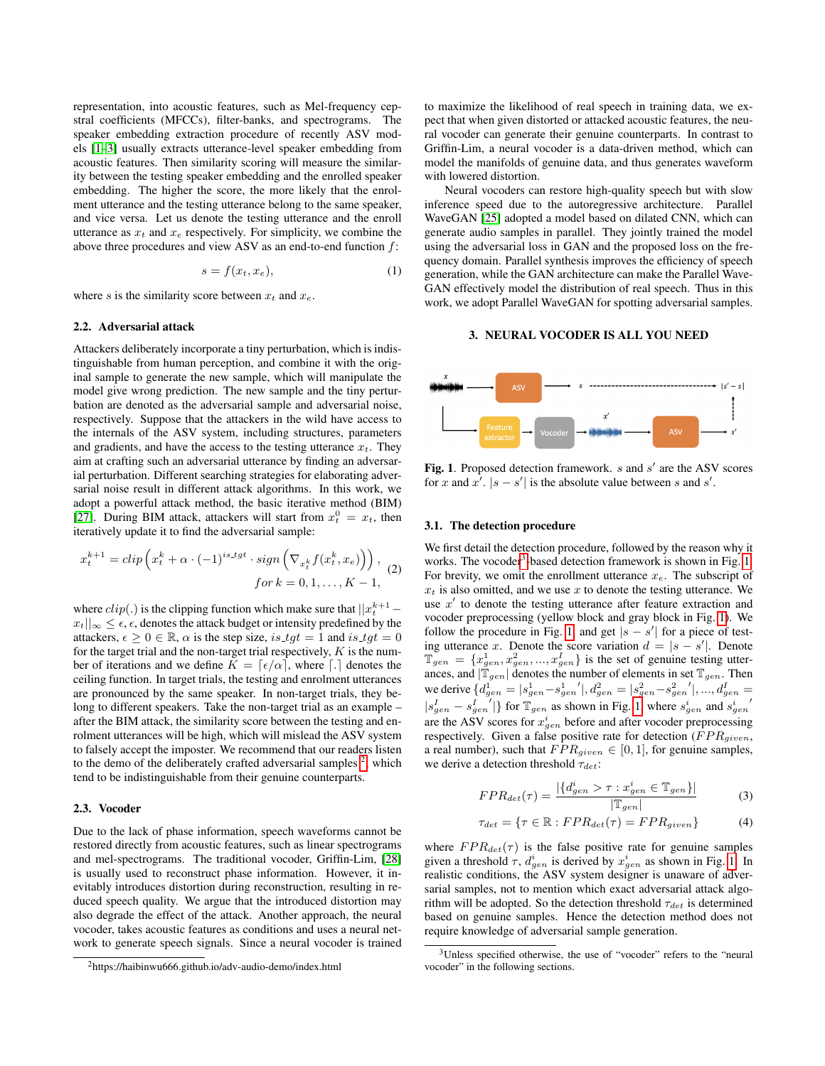representation, into acoustic features, such as Mel-frequency cepstral coefficients (MFCCs), filter-banks, and spectrograms. The speaker embedding extraction procedure of recently ASV models [\[1–](#page-4-0)[3\]](#page-4-1) usually extracts utterance-level speaker embedding from acoustic features. Then similarity scoring will measure the similarity between the testing speaker embedding and the enrolled speaker embedding. The higher the score, the more likely that the enrolment utterance and the testing utterance belong to the same speaker, and vice versa. Let us denote the testing utterance and the enroll utterance as  $x_t$  and  $x_e$  respectively. For simplicity, we combine the above three procedures and view ASV as an end-to-end function f:

$$
s = f(x_t, x_e), \tag{1}
$$

where s is the similarity score between  $x_t$  and  $x_e$ .

## 2.2. Adversarial attack

Attackers deliberately incorporate a tiny perturbation, which is indistinguishable from human perception, and combine it with the original sample to generate the new sample, which will manipulate the model give wrong prediction. The new sample and the tiny perturbation are denoted as the adversarial sample and adversarial noise, respectively. Suppose that the attackers in the wild have access to the internals of the ASV system, including structures, parameters and gradients, and have the access to the testing utterance  $x_t$ . They aim at crafting such an adversarial utterance by finding an adversarial perturbation. Different searching strategies for elaborating adversarial noise result in different attack algorithms. In this work, we adopt a powerful attack method, the basic iterative method (BIM) [\[27\]](#page-4-24). During BIM attack, attackers will start from  $x_t^0 = x_t$ , then iteratively update it to find the adversarial sample:

$$
x_t^{k+1} = clip\left(x_t^k + \alpha \cdot (-1)^{is.tgt} \cdot sign\left(\nabla_{x_t^k} f(x_t^k, x_e)\right)\right),
$$
  
for  $k = 0, 1, ..., K - 1$ , (2)

where  $clip(.)$  is the clipping function which make sure that  $||x_t^{k+1}$  $x_t||_{\infty} \leq \epsilon$ ,  $\epsilon$ , denotes the attack budget or intensity predefined by the attackers,  $\epsilon \geq 0 \in \mathbb{R}$ ,  $\alpha$  is the step size, is  $tgt = 1$  and is  $tgt = 0$ for the target trial and the non-target trial respectively,  $K$  is the number of iterations and we define  $K = \lceil \epsilon/\alpha \rceil$ , where  $\lceil \cdot \rceil$  denotes the ceiling function. In target trials, the testing and enrolment utterances are pronounced by the same speaker. In non-target trials, they belong to different speakers. Take the non-target trial as an example – after the BIM attack, the similarity score between the testing and enrolment utterances will be high, which will mislead the ASV system to falsely accept the imposter. We recommend that our readers listen to the demo of the deliberately crafted adversarial samples  $2$ , which tend to be indistinguishable from their genuine counterparts.

#### 2.3. Vocoder

Due to the lack of phase information, speech waveforms cannot be restored directly from acoustic features, such as linear spectrograms and mel-spectrograms. The traditional vocoder, Griffin-Lim, [\[28\]](#page-4-25) is usually used to reconstruct phase information. However, it inevitably introduces distortion during reconstruction, resulting in reduced speech quality. We argue that the introduced distortion may also degrade the effect of the attack. Another approach, the neural vocoder, takes acoustic features as conditions and uses a neural network to generate speech signals. Since a neural vocoder is trained

to maximize the likelihood of real speech in training data, we expect that when given distorted or attacked acoustic features, the neural vocoder can generate their genuine counterparts. In contrast to Griffin-Lim, a neural vocoder is a data-driven method, which can model the manifolds of genuine data, and thus generates waveform with lowered distortion.

Neural vocoders can restore high-quality speech but with slow inference speed due to the autoregressive architecture. Parallel WaveGAN [\[25\]](#page-4-22) adopted a model based on dilated CNN, which can generate audio samples in parallel. They jointly trained the model using the adversarial loss in GAN and the proposed loss on the frequency domain. Parallel synthesis improves the efficiency of speech generation, while the GAN architecture can make the Parallel Wave-GAN effectively model the distribution of real speech. Thus in this work, we adopt Parallel WaveGAN for spotting adversarial samples.

## 3. NEURAL VOCODER IS ALL YOU NEED



<span id="page-1-2"></span>Fig. 1. Proposed detection framework.  $s$  and  $s'$  are the ASV scores for x and  $x^7$ .  $|s - s'|$  is the absolute value between s and s'.

#### <span id="page-1-4"></span>3.1. The detection procedure

We first detail the detection procedure, followed by the reason why it works. The vocoder<sup>[3](#page-1-1)</sup>-based detection framework is shown in Fig. [1.](#page-1-2) For brevity, we omit the enrollment utterance  $x_e$ . The subscript of  $x_t$  is also omitted, and we use x to denote the testing utterance. We use  $x'$  to denote the testing utterance after feature extraction and vocoder preprocessing (yellow block and gray block in Fig. [1\)](#page-1-2). We follow the procedure in Fig. [1,](#page-1-2) and get  $|s - s'|$  for a piece of testing utterance x. Denote the score variation  $d = |s - s'|$ . Denote  $\mathbb{T}_{gen} = \{x_{gen}^1, x_{gen}^2, ..., x_{gen}^I\}$  is the set of genuine testing utterances, and  $|\mathbb{T}_{gen}|$  denotes the number of elements in set  $\mathbb{T}_{gen}$ . Then we derive  $\{d_{gen}^1 =|s_{gen}^1 - s_{gen}^1|, d_{gen}^2 =|s_{gen}^2 - s_{gen}^2|, ..., d_{gen}^I =$  $|s_{gen}^I - s_{gen}^I|$ } for  $\mathbb{T}_{gen}$  as shown in Fig. [1,](#page-1-2) where  $s_{gen}^i$  and  $s_{gen}^i$ are the ASV scores for  $x_{gen}^i$  before and after vocoder preprocessing respectively. Given a false positive rate for detection  $(FPR_{given},$ a real number), such that  $FPR_{given} \in [0, 1]$ , for genuine samples, we derive a detection threshold  $\tau_{det}$ :

$$
FPR_{det}(\tau) = \frac{|\{d_{gen}^i > \tau : x_{gen}^i \in \mathbb{T}_{gen}\}|}{|\mathbb{T}_{gen}|} \tag{3}
$$

<span id="page-1-3"></span>
$$
\tau_{det} = \{ \tau \in \mathbb{R} : FPR_{det}(\tau) = FPR_{given} \}
$$
 (4)

where  $FPR_{det}(\tau)$  is the false positive rate for genuine samples given a threshold  $\tau$ ,  $d_{gen}^i$  is derived by  $x_{gen}^i$  as shown in Fig. [1.](#page-1-2) In realistic conditions, the ASV system designer is unaware of adversarial samples, not to mention which exact adversarial attack algorithm will be adopted. So the detection threshold  $\tau_{det}$  is determined based on genuine samples. Hence the detection method does not require knowledge of adversarial sample generation.

<span id="page-1-0"></span><sup>2</sup>https://haibinwu666.github.io/adv-audio-demo/index.html

<span id="page-1-1"></span><sup>&</sup>lt;sup>3</sup>Unless specified otherwise, the use of "vocoder" refers to the "neural vocoder" in the following sections.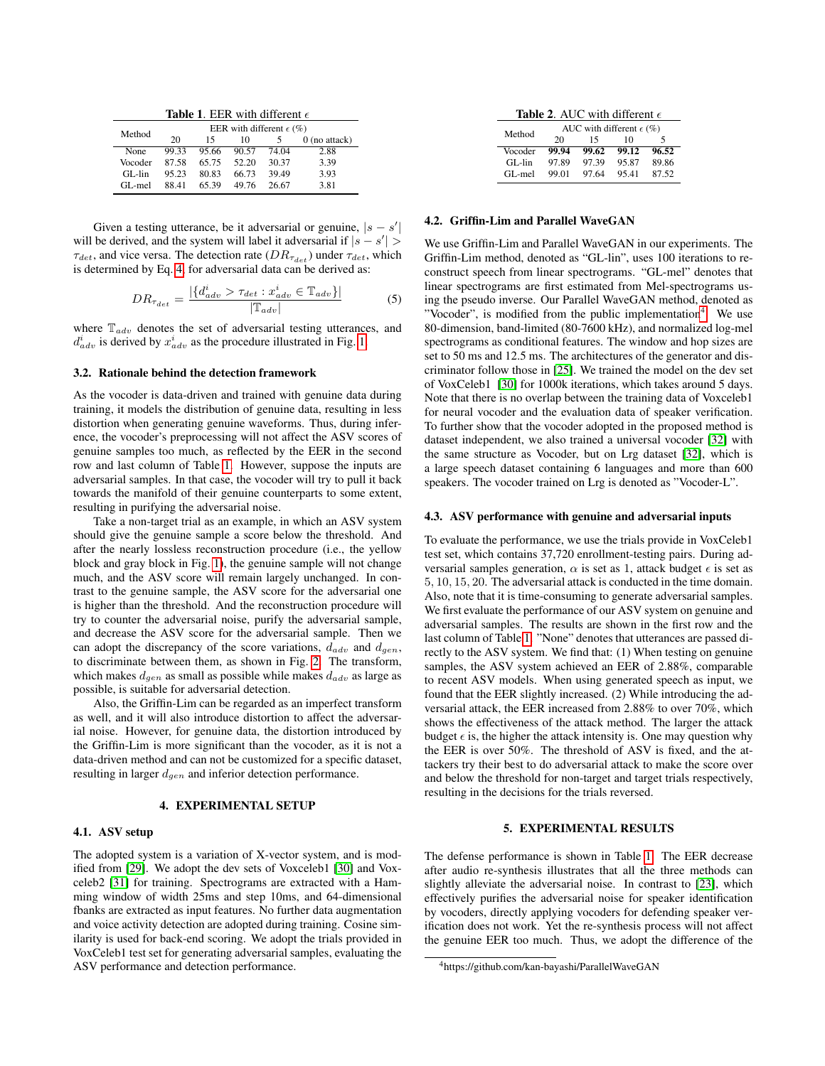<span id="page-2-0"></span>

|  | <b>Table 1.</b> EER with different $\epsilon$ |  |
|--|-----------------------------------------------|--|
|  |                                               |  |

| Method      | EER with different $\epsilon$ (%) |       |       |       |                 |
|-------------|-----------------------------------|-------|-------|-------|-----------------|
|             | 20                                | 15    | 10    |       | $0$ (no attack) |
| <b>None</b> | 99.33                             | 95.66 | 90.57 | 74.04 | 2.88            |
| Vocoder     | 87.58                             | 65.75 | 52.20 | 30.37 | 3.39            |
| GL-lin      | 95.23                             | 80.83 | 66.73 | 39.49 | 3.93            |
| GL-mel      | 88.41                             | 65.39 | 49.76 | 26.67 | 3.81            |

Given a testing utterance, be it adversarial or genuine,  $|s - s'|$ will be derived, and the system will label it adversarial if  $|s - s'|$  $\tau_{det}$ , and vice versa. The detection rate  $(DR_{\tau_{det}})$  under  $\tau_{det}$ , which is determined by Eq. [4,](#page-1-3) for adversarial data can be derived as:

$$
DR_{\tau_{det}} = \frac{|\{d_{adv}^i > \tau_{det} : x_{adv}^i \in \mathbb{T}_{adv}\}|}{|\mathbb{T}_{adv}|}
$$
(5)

where  $\mathbb{T}_{adv}$  denotes the set of adversarial testing utterances, and  $d_{adv}^i$  is derived by  $x_{adv}^i$  as the procedure illustrated in Fig. [1.](#page-1-2)

#### 3.2. Rationale behind the detection framework

As the vocoder is data-driven and trained with genuine data during training, it models the distribution of genuine data, resulting in less distortion when generating genuine waveforms. Thus, during inference, the vocoder's preprocessing will not affect the ASV scores of genuine samples too much, as reflected by the EER in the second row and last column of Table [1.](#page-2-0) However, suppose the inputs are adversarial samples. In that case, the vocoder will try to pull it back towards the manifold of their genuine counterparts to some extent, resulting in purifying the adversarial noise.

Take a non-target trial as an example, in which an ASV system should give the genuine sample a score below the threshold. And after the nearly lossless reconstruction procedure (i.e., the yellow block and gray block in Fig. [1\)](#page-1-2), the genuine sample will not change much, and the ASV score will remain largely unchanged. In contrast to the genuine sample, the ASV score for the adversarial one is higher than the threshold. And the reconstruction procedure will try to counter the adversarial noise, purify the adversarial sample, and decrease the ASV score for the adversarial sample. Then we can adopt the discrepancy of the score variations,  $d_{adv}$  and  $d_{gen}$ , to discriminate between them, as shown in Fig. [2.](#page-3-0) The transform, which makes  $d_{gen}$  as small as possible while makes  $d_{adv}$  as large as possible, is suitable for adversarial detection.

Also, the Griffin-Lim can be regarded as an imperfect transform as well, and it will also introduce distortion to affect the adversarial noise. However, for genuine data, the distortion introduced by the Griffin-Lim is more significant than the vocoder, as it is not a data-driven method and can not be customized for a specific dataset, resulting in larger  $d_{gen}$  and inferior detection performance.

#### 4. EXPERIMENTAL SETUP

## 4.1. ASV setup

The adopted system is a variation of X-vector system, and is modified from [\[29\]](#page-4-26). We adopt the dev sets of Voxceleb1 [\[30\]](#page-4-27) and Voxceleb2 [\[31\]](#page-4-28) for training. Spectrograms are extracted with a Hamming window of width 25ms and step 10ms, and 64-dimensional fbanks are extracted as input features. No further data augmentation and voice activity detection are adopted during training. Cosine similarity is used for back-end scoring. We adopt the trials provided in VoxCeleb1 test set for generating adversarial samples, evaluating the ASV performance and detection performance.

<span id="page-2-2"></span>

| <b>Table 2.</b> AUC with different $\epsilon$ |  |  |
|-----------------------------------------------|--|--|
|                                               |  |  |

| Method   | AUC with different $\epsilon$ (%) |       |       |       |
|----------|-----------------------------------|-------|-------|-------|
|          | 20                                | 15    | 10    | 5     |
| Vocoder  | 99.94                             | 99.62 | 99.12 | 96.52 |
| $GL-lin$ | 97.89                             | 97.39 | 95.87 | 89.86 |
| GL-mel   | 99.01                             | 97.64 | 95.41 | 87.52 |

## 4.2. Griffin-Lim and Parallel WaveGAN

We use Griffin-Lim and Parallel WaveGAN in our experiments. The Griffin-Lim method, denoted as "GL-lin", uses 100 iterations to reconstruct speech from linear spectrograms. "GL-mel" denotes that linear spectrograms are first estimated from Mel-spectrograms using the pseudo inverse. Our Parallel WaveGAN method, denoted as "Vocoder", is modified from the public implementation<sup>[4](#page-2-1)</sup>. We use 80-dimension, band-limited (80-7600 kHz), and normalized log-mel spectrograms as conditional features. The window and hop sizes are set to 50 ms and 12.5 ms. The architectures of the generator and discriminator follow those in [\[25\]](#page-4-22). We trained the model on the dev set of VoxCeleb1 [\[30\]](#page-4-27) for 1000k iterations, which takes around 5 days. Note that there is no overlap between the training data of Voxceleb1 for neural vocoder and the evaluation data of speaker verification. To further show that the vocoder adopted in the proposed method is dataset independent, we also trained a universal vocoder [\[32\]](#page-4-29) with the same structure as Vocoder, but on Lrg dataset [\[32\]](#page-4-29), which is a large speech dataset containing 6 languages and more than 600 speakers. The vocoder trained on Lrg is denoted as "Vocoder-L".

#### 4.3. ASV performance with genuine and adversarial inputs

To evaluate the performance, we use the trials provide in VoxCeleb1 test set, which contains 37,720 enrollment-testing pairs. During adversarial samples generation,  $\alpha$  is set as 1, attack budget  $\epsilon$  is set as 5, 10, 15, 20. The adversarial attack is conducted in the time domain. Also, note that it is time-consuming to generate adversarial samples. We first evaluate the performance of our ASV system on genuine and adversarial samples. The results are shown in the first row and the last column of Table [1.](#page-2-0) "None" denotes that utterances are passed directly to the ASV system. We find that: (1) When testing on genuine samples, the ASV system achieved an EER of 2.88%, comparable to recent ASV models. When using generated speech as input, we found that the EER slightly increased. (2) While introducing the adversarial attack, the EER increased from 2.88% to over 70%, which shows the effectiveness of the attack method. The larger the attack budget  $\epsilon$  is, the higher the attack intensity is. One may question why the EER is over 50%. The threshold of ASV is fixed, and the attackers try their best to do adversarial attack to make the score over and below the threshold for non-target and target trials respectively, resulting in the decisions for the trials reversed.

## 5. EXPERIMENTAL RESULTS

The defense performance is shown in Table [1.](#page-2-0) The EER decrease after audio re-synthesis illustrates that all the three methods can slightly alleviate the adversarial noise. In contrast to [\[23\]](#page-4-21), which effectively purifies the adversarial noise for speaker identification by vocoders, directly applying vocoders for defending speaker verification does not work. Yet the re-synthesis process will not affect the genuine EER too much. Thus, we adopt the difference of the

<span id="page-2-1"></span><sup>4</sup>https://github.com/kan-bayashi/ParallelWaveGAN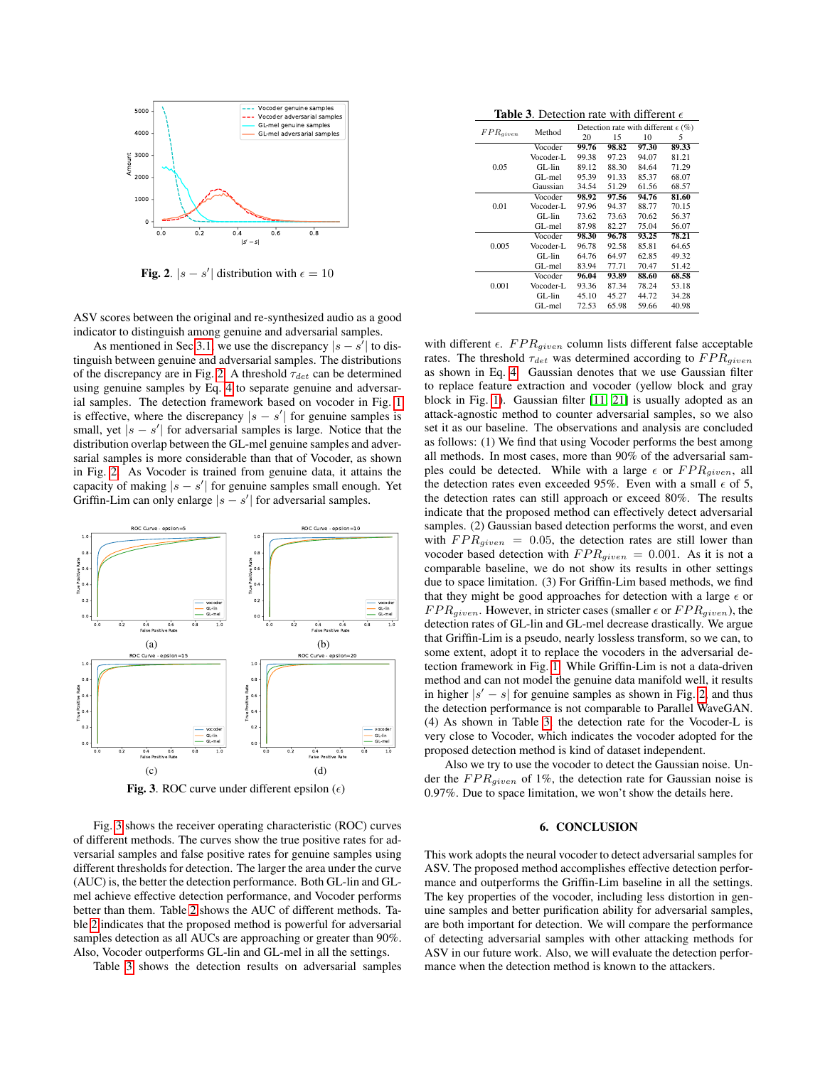

<span id="page-3-0"></span>**Fig. 2.**  $|s - s'|$  distribution with  $\epsilon = 10$ 

ASV scores between the original and re-synthesized audio as a good indicator to distinguish among genuine and adversarial samples.

As mentioned in Sec [3.1,](#page-1-4) we use the discrepancy  $|s - s'|$  to distinguish between genuine and adversarial samples. The distributions of the discrepancy are in Fig. [2.](#page-3-0) A threshold  $\tau_{det}$  can be determined using genuine samples by Eq. [4](#page-1-3) to separate genuine and adversarial samples. The detection framework based on vocoder in Fig. [1](#page-1-2) is effective, where the discrepancy  $|s - s'|$  for genuine samples is small, yet  $|s - s'|$  for adversarial samples is large. Notice that the distribution overlap between the GL-mel genuine samples and adversarial samples is more considerable than that of Vocoder, as shown in Fig. [2.](#page-3-0) As Vocoder is trained from genuine data, it attains the capacity of making  $|s - s'|$  for genuine samples small enough. Yet Griffin-Lim can only enlarge  $|s - s'|$  for adversarial samples.



<span id="page-3-1"></span>Fig. 3. ROC curve under different epsilon  $(\epsilon)$ 

Fig. [3](#page-3-1) shows the receiver operating characteristic (ROC) curves of different methods. The curves show the true positive rates for adversarial samples and false positive rates for genuine samples using different thresholds for detection. The larger the area under the curve (AUC) is, the better the detection performance. Both GL-lin and GLmel achieve effective detection performance, and Vocoder performs better than them. Table [2](#page-2-2) shows the AUC of different methods. Table [2](#page-2-2) indicates that the proposed method is powerful for adversarial samples detection as all AUCs are approaching or greater than 90%. Also, Vocoder outperforms GL-lin and GL-mel in all the settings.

Table [3](#page-3-2) shows the detection results on adversarial samples

<span id="page-3-2"></span>**Table 3.** Detection rate with different  $\epsilon$ 

| $FPR_{given}$ | Method    |       | Detection rate with different $\epsilon$ (%) |       |       |  |
|---------------|-----------|-------|----------------------------------------------|-------|-------|--|
|               |           | 20    | 15                                           | 10    | 5     |  |
|               | Vocoder   | 99.76 | 98.82                                        | 97.30 | 89.33 |  |
|               | Vocoder-L | 99.38 | 97.23                                        | 94.07 | 81.21 |  |
| 0.05          | $GL-Iin$  | 89.12 | 88.30                                        | 84.64 | 71.29 |  |
|               | GL-mel    | 95.39 | 91.33                                        | 85.37 | 68.07 |  |
|               | Gaussian  | 34.54 | 51.29                                        | 61.56 | 68.57 |  |
|               | Vocoder   | 98.92 | 97.56                                        | 94.76 | 81.60 |  |
| 0.01          | Vocoder-L | 97.96 | 94.37                                        | 88.77 | 70.15 |  |
|               | $GL-Iin$  | 73.62 | 73.63                                        | 70.62 | 56.37 |  |
|               | GL-mel    | 87.98 | 82.27                                        | 75.04 | 56.07 |  |
|               | Vocoder   | 98.30 | 96.78                                        | 93.25 | 78.21 |  |
| 0.005         | Vocoder-L | 96.78 | 92.58                                        | 85.81 | 64.65 |  |
|               | $GI$ -lin | 64.76 | 64.97                                        | 62.85 | 49.32 |  |
|               | GL-mel    | 83.94 | 77.71                                        | 70.47 | 51.42 |  |
|               | Vocoder   | 96.04 | 93.89                                        | 88.60 | 68.58 |  |
| 0.001         | Vocoder-L | 93.36 | 87.34                                        | 78.24 | 53.18 |  |
|               | $GL-Iin$  | 45.10 | 45.27                                        | 44.72 | 34.28 |  |
|               | GL-mel    | 72.53 | 65.98                                        | 59.66 | 40.98 |  |

with different  $\epsilon$ .  $FPR_{given}$  column lists different false acceptable rates. The threshold  $\tau_{det}$  was determined according to  $FPR_{given}$ as shown in Eq. [4.](#page-1-3) Gaussian denotes that we use Gaussian filter to replace feature extraction and vocoder (yellow block and gray block in Fig. [1\)](#page-1-2). Gaussian filter [\[11,](#page-4-8) [21\]](#page-4-19) is usually adopted as an attack-agnostic method to counter adversarial samples, so we also set it as our baseline. The observations and analysis are concluded as follows: (1) We find that using Vocoder performs the best among all methods. In most cases, more than 90% of the adversarial samples could be detected. While with a large  $\epsilon$  or  $FPR_{given}$ , all the detection rates even exceeded 95%. Even with a small  $\epsilon$  of 5, the detection rates can still approach or exceed 80%. The results indicate that the proposed method can effectively detect adversarial samples. (2) Gaussian based detection performs the worst, and even with  $FPR_{given} = 0.05$ , the detection rates are still lower than vocoder based detection with  $FPR_{given} = 0.001$ . As it is not a comparable baseline, we do not show its results in other settings due to space limitation. (3) For Griffin-Lim based methods, we find that they might be good approaches for detection with a large  $\epsilon$  or  $FPR_{given}$ . However, in stricter cases (smaller  $\epsilon$  or  $FPR_{given}$ ), the detection rates of GL-lin and GL-mel decrease drastically. We argue that Griffin-Lim is a pseudo, nearly lossless transform, so we can, to some extent, adopt it to replace the vocoders in the adversarial detection framework in Fig. [1.](#page-1-2) While Griffin-Lim is not a data-driven method and can not model the genuine data manifold well, it results in higher  $|s'-s|$  for genuine samples as shown in Fig. [2,](#page-3-0) and thus the detection performance is not comparable to Parallel WaveGAN. (4) As shown in Table [3,](#page-3-2) the detection rate for the Vocoder-L is very close to Vocoder, which indicates the vocoder adopted for the proposed detection method is kind of dataset independent.

Also we try to use the vocoder to detect the Gaussian noise. Under the  $FPR_{given}$  of 1%, the detection rate for Gaussian noise is 0.97%. Due to space limitation, we won't show the details here.

## 6. CONCLUSION

This work adopts the neural vocoder to detect adversarial samples for ASV. The proposed method accomplishes effective detection performance and outperforms the Griffin-Lim baseline in all the settings. The key properties of the vocoder, including less distortion in genuine samples and better purification ability for adversarial samples, are both important for detection. We will compare the performance of detecting adversarial samples with other attacking methods for ASV in our future work. Also, we will evaluate the detection performance when the detection method is known to the attackers.